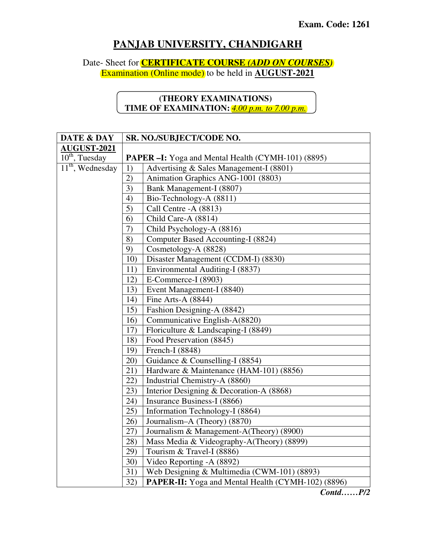## **PANJAB UNIVERSITY, CHANDIGARH**

Date- Sheet for **CERTIFICATE COURSE** *(ADD ON COURSES)*

Examination (Online mode) to be held in **AUGUST-2021**

## **(THEORY EXAMINATIONS) TIME OF EXAMINATION:** *4.00 p.m. to 7.00 p.m.*

| DATE & DAY                              | <b>SR. NO./SUBJECT/CODE NO.</b>                           |                                                           |
|-----------------------------------------|-----------------------------------------------------------|-----------------------------------------------------------|
| <b>AUGUST-2021</b>                      |                                                           |                                                           |
| $10^{th}$ , Tuesday                     | <b>PAPER –I:</b> Yoga and Mental Health (CYMH-101) (8895) |                                                           |
| $\overline{11}^{\text{th}}$ , Wednesday | 1)                                                        | Advertising & Sales Management-I (8801)                   |
|                                         | 2)                                                        | Animation Graphics ANG-1001 (8803)                        |
|                                         | 3)                                                        | Bank Management-I (8807)                                  |
|                                         | 4)                                                        | Bio-Technology-A (8811)                                   |
|                                         | 5)                                                        | Call Centre -A (8813)                                     |
|                                         | 6)                                                        | Child Care-A (8814)                                       |
|                                         | 7)                                                        | Child Psychology-A (8816)                                 |
|                                         | 8)                                                        | Computer Based Accounting-I (8824)                        |
|                                         | 9)                                                        | Cosmetology-A (8828)                                      |
|                                         | 10)                                                       | Disaster Management (CCDM-I) (8830)                       |
|                                         | 11)                                                       | Environmental Auditing-I (8837)                           |
|                                         | 12)                                                       | E-Commerce-I (8903)                                       |
|                                         | 13)                                                       | Event Management-I (8840)                                 |
|                                         | 14)                                                       | Fine Arts-A (8844)                                        |
|                                         | 15)                                                       | Fashion Designing-A (8842)                                |
|                                         | 16)                                                       | Communicative English-A(8820)                             |
|                                         | 17)                                                       | Floriculture & Landscaping-I (8849)                       |
|                                         | 18)                                                       | Food Preservation (8845)                                  |
|                                         | 19)                                                       | French-I (8848)                                           |
|                                         | 20)                                                       | Guidance & Counselling-I (8854)                           |
|                                         | 21)                                                       | Hardware & Maintenance (HAM-101) (8856)                   |
|                                         | 22)                                                       | Industrial Chemistry-A (8860)                             |
|                                         | 23)                                                       | Interior Designing & Decoration-A (8868)                  |
|                                         | 24)                                                       | Insurance Business-I (8866)                               |
|                                         | 25)                                                       | Information Technology-I (8864)                           |
|                                         | 26)                                                       | Journalism-A (Theory) (8870)                              |
|                                         | 27)                                                       | Journalism & Management-A(Theory) (8900)                  |
|                                         | 28)                                                       | Mass Media & Videography-A(Theory) (8899)                 |
|                                         | 29)                                                       | Tourism & Travel-I (8886)                                 |
|                                         | 30)                                                       | Video Reporting -A (8892)                                 |
|                                         | 31)                                                       | Web Designing & Multimedia (CWM-101) (8893)               |
|                                         | 32)                                                       | <b>PAPER-II:</b> Yoga and Mental Health (CYMH-102) (8896) |

*Contd……P/2*